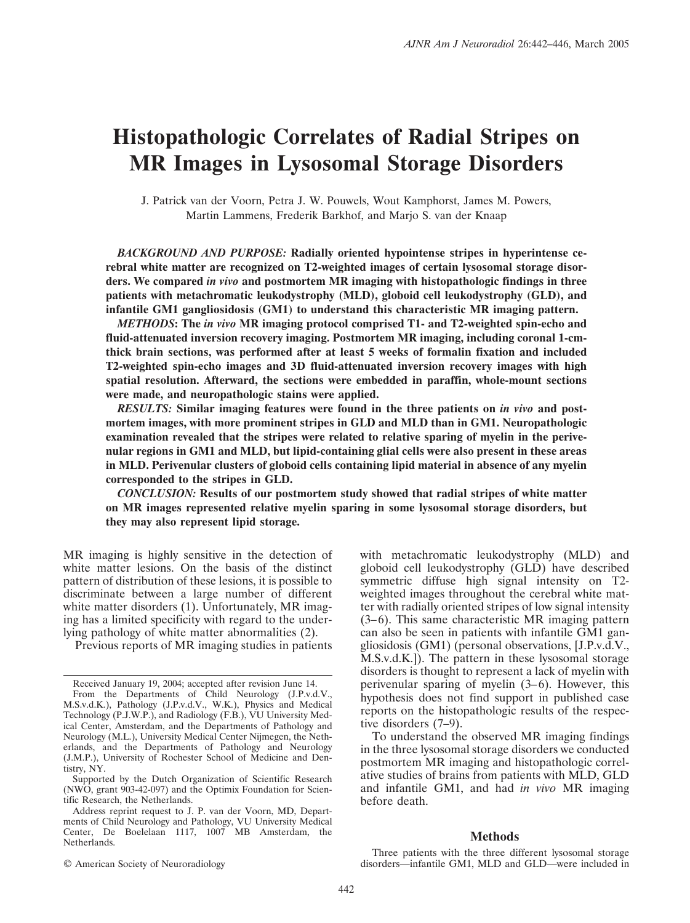# **Histopathologic Correlates of Radial Stripes on MR Images in Lysosomal Storage Disorders**

J. Patrick van der Voorn, Petra J. W. Pouwels, Wout Kamphorst, James M. Powers, Martin Lammens, Frederik Barkhof, and Marjo S. van der Knaap

*BACKGROUND AND PURPOSE:* **Radially oriented hypointense stripes in hyperintense cerebral white matter are recognized on T2-weighted images of certain lysosomal storage disorders. We compared** *in vivo* **and postmortem MR imaging with histopathologic findings in three patients with metachromatic leukodystrophy (MLD), globoid cell leukodystrophy (GLD), and infantile GM1 gangliosidosis (GM1) to understand this characteristic MR imaging pattern.**

*METHODS***: The** *in vivo* **MR imaging protocol comprised T1- and T2-weighted spin-echo and fluid-attenuated inversion recovery imaging. Postmortem MR imaging, including coronal 1-cmthick brain sections, was performed after at least 5 weeks of formalin fixation and included T2-weighted spin-echo images and 3D fluid-attenuated inversion recovery images with high spatial resolution. Afterward, the sections were embedded in paraffin, whole-mount sections were made, and neuropathologic stains were applied.**

*RESULTS:* **Similar imaging features were found in the three patients on** *in vivo* **and postmortem images, with more prominent stripes in GLD and MLD than in GM1. Neuropathologic examination revealed that the stripes were related to relative sparing of myelin in the perivenular regions in GM1 and MLD, but lipid-containing glial cells were also present in these areas in MLD. Perivenular clusters of globoid cells containing lipid material in absence of any myelin corresponded to the stripes in GLD.**

*CONCLUSION:* **Results of our postmortem study showed that radial stripes of white matter on MR images represented relative myelin sparing in some lysosomal storage disorders, but they may also represent lipid storage.**

MR imaging is highly sensitive in the detection of white matter lesions. On the basis of the distinct pattern of distribution of these lesions, it is possible to discriminate between a large number of different white matter disorders (1). Unfortunately, MR imaging has a limited specificity with regard to the underlying pathology of white matter abnormalities (2).

Previous reports of MR imaging studies in patients

© American Society of Neuroradiology

with metachromatic leukodystrophy (MLD) and globoid cell leukodystrophy (GLD) have described symmetric diffuse high signal intensity on T2 weighted images throughout the cerebral white matter with radially oriented stripes of low signal intensity  $(3-6)$ . This same characteristic MR imaging pattern can also be seen in patients with infantile GM1 gangliosidosis (GM1) (personal observations, [J.P.v.d.V., M.S.v.d.K.]). The pattern in these lysosomal storage disorders is thought to represent a lack of myelin with perivenular sparing of myelin  $(3-6)$ . However, this hypothesis does not find support in published case reports on the histopathologic results of the respective disorders (7–9).

To understand the observed MR imaging findings in the three lysosomal storage disorders we conducted postmortem MR imaging and histopathologic correlative studies of brains from patients with MLD, GLD and infantile GM1, and had *in vivo* MR imaging before death.

# **Methods**

Three patients with the three different lysosomal storage disorders—infantile GM1, MLD and GLD—were included in

Received January 19, 2004; accepted after revision June 14. From the Departments of Child Neurology (J.P.v.d.V., M.S.v.d.K.), Pathology (J.P.v.d.V., W.K.), Physics and Medical Technology (P.J.W.P.), and Radiology (F.B.), VU University Medical Center, Amsterdam, and the Departments of Pathology and Neurology (M.L.), University Medical Center Nijmegen, the Netherlands, and the Departments of Pathology and Neurology (J.M.P.), University of Rochester School of Medicine and Dentistry, NY.

Supported by the Dutch Organization of Scientific Research (NWO, grant 903-42-097) and the Optimix Foundation for Scientific Research, the Netherlands.

Address reprint request to J. P. van der Voorn, MD, Departments of Child Neurology and Pathology, VU University Medical Center, De Boelelaan 1117, 1007 MB Amsterdam, the Netherlands.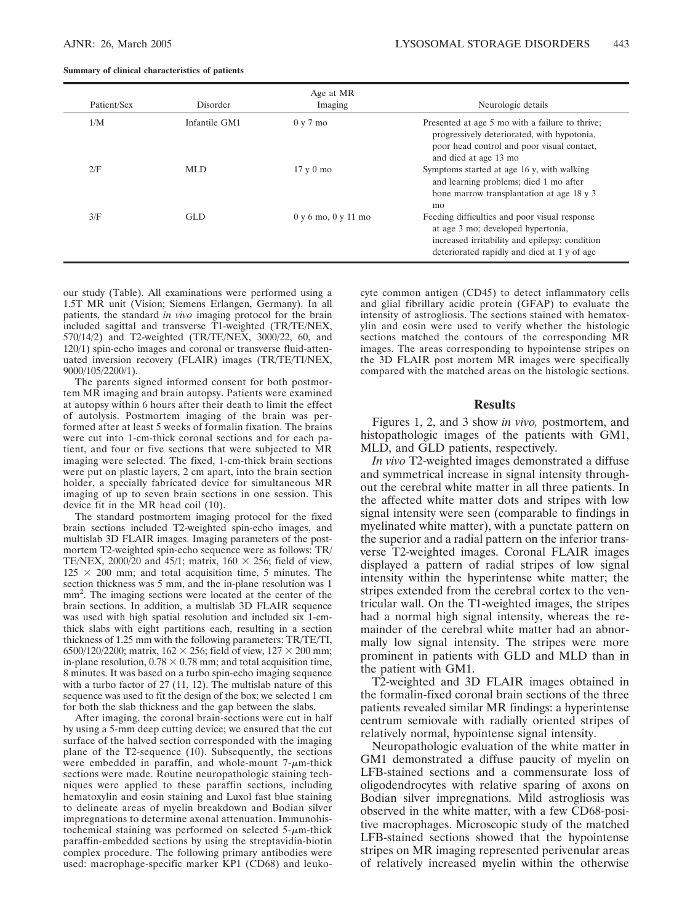|  |  |  | Summary of clinical characteristics of patients |  |  |
|--|--|--|-------------------------------------------------|--|--|
|--|--|--|-------------------------------------------------|--|--|

| Patient/Sex | Disorder      | Age at MR<br>Imaging          | Neurologic details                                                                                                                                                                   |
|-------------|---------------|-------------------------------|--------------------------------------------------------------------------------------------------------------------------------------------------------------------------------------|
| 1/M         | Infantile GM1 | $0 \text{ y } 7 \text{ mo}$   | Presented at age 5 mo with a failure to thrive;<br>progressively deteriorated, with hypotonia,<br>poor head control and poor visual contact,<br>and died at age 13 mo                |
| 2/F         | MLD.          | $17 \times 0$ mo              | Symptoms started at age 16 y, with walking<br>and learning problems; died 1 mo after<br>bone marrow transplantation at age 18 y 3<br>mo                                              |
| 3/F         | GLD.          | $0 \vee 6$ mo, $0 \vee 11$ mo | Feeding difficulties and poor visual response<br>at age 3 mo; developed hypertonia,<br>increased irritability and epilepsy; condition<br>deteriorated rapidly and died at 1 y of age |

our study (Table). All examinations were performed using a 1.5T MR unit (Vision; Siemens Erlangen, Germany). In all patients, the standard *in vivo* imaging protocol for the brain included sagittal and transverse T1-weighted (TR/TE/NEX, 570/14/2) and T2-weighted (TR/TE/NEX, 3000/22, 60, and 120/1) spin-echo images and coronal or transverse fluid-attenuated inversion recovery (FLAIR) images (TR/TE/TI/NEX, 9000/105/2200/1).

The parents signed informed consent for both postmortem MR imaging and brain autopsy. Patients were examined at autopsy within 6 hours after their death to limit the effect of autolysis. Postmortem imaging of the brain was performed after at least 5 weeks of formalin fixation. The brains were cut into 1-cm-thick coronal sections and for each patient, and four or five sections that were subjected to MR imaging were selected. The fixed, 1-cm-thick brain sections were put on plastic layers, 2 cm apart, into the brain section holder, a specially fabricated device for simultaneous MR imaging of up to seven brain sections in one session. This device fit in the MR head coil (10).

The standard postmortem imaging protocol for the fixed brain sections included T2-weighted spin-echo images, and multislab 3D FLAIR images. Imaging parameters of the postmortem T2-weighted spin-echo sequence were as follows: TR/ TE/NEX, 2000/20 and 45/1; matrix,  $160 \times 256$ ; field of view,  $125 \times 200$  mm; and total acquisition time, 5 minutes. The section thickness was 5 mm, and the in-plane resolution was 1 mm<sup>2</sup>. The imaging sections were located at the center of the brain sections. In addition, a multislab 3D FLAIR sequence was used with high spatial resolution and included six 1-cmthick slabs with eight partitions each, resulting in a section thickness of 1.25 mm with the following parameters: TR/TE/TI, 6500/120/2200; matrix,  $162 \times 256$ ; field of view,  $127 \times 200$  mm; in-plane resolution,  $0.78 \times 0.78$  mm; and total acquisition time, 8 minutes. It was based on a turbo spin-echo imaging sequence with a turbo factor of 27 (11, 12). The multislab nature of this sequence was used to fit the design of the box; we selected 1 cm for both the slab thickness and the gap between the slabs.

After imaging, the coronal brain-sections were cut in half by using a 5-mm deep cutting device; we ensured that the cut surface of the halved section corresponded with the imaging plane of the T2-sequence (10). Subsequently, the sections were embedded in paraffin, and whole-mount  $7\text{-}\mu\text{m-thick}$ sections were made. Routine neuropathologic staining techniques were applied to these paraffin sections, including hematoxylin and eosin staining and Luxol fast blue staining to delineate areas of myelin breakdown and Bodian silver impregnations to determine axonal attenuation. Immunohistochemical staining was performed on selected  $5-\mu m$ -thick paraffin-embedded sections by using the streptavidin-biotin complex procedure. The following primary antibodies were used: macrophage-specific marker KP1 (CD68) and leukocyte common antigen (CD45) to detect inflammatory cells and glial fibrillary acidic protein (GFAP) to evaluate the intensity of astrogliosis. The sections stained with hematoxylin and eosin were used to verify whether the histologic sections matched the contours of the corresponding MR images. The areas corresponding to hypointense stripes on the 3D FLAIR post mortem MR images were specifically compared with the matched areas on the histologic sections.

# **Results**

Figures 1, 2, and 3 show *in vivo,* postmortem, and histopathologic images of the patients with GM1, MLD, and GLD patients, respectively.

*In vivo* T2-weighted images demonstrated a diffuse and symmetrical increase in signal intensity throughout the cerebral white matter in all three patients. In the affected white matter dots and stripes with low signal intensity were seen (comparable to findings in myelinated white matter), with a punctate pattern on the superior and a radial pattern on the inferior transverse T2-weighted images. Coronal FLAIR images displayed a pattern of radial stripes of low signal intensity within the hyperintense white matter; the stripes extended from the cerebral cortex to the ventricular wall. On the T1-weighted images, the stripes had a normal high signal intensity, whereas the remainder of the cerebral white matter had an abnormally low signal intensity. The stripes were more prominent in patients with GLD and MLD than in the patient with GM1.

T2-weighted and 3D FLAIR images obtained in the formalin-fixed coronal brain sections of the three patients revealed similar MR findings: a hyperintense centrum semiovale with radially oriented stripes of relatively normal, hypointense signal intensity.

Neuropathologic evaluation of the white matter in GM1 demonstrated a diffuse paucity of myelin on LFB-stained sections and a commensurate loss of oligodendrocytes with relative sparing of axons on Bodian silver impregnations. Mild astrogliosis was observed in the white matter, with a few CD68-positive macrophages. Microscopic study of the matched LFB-stained sections showed that the hypointense stripes on MR imaging represented perivenular areas of relatively increased myelin within the otherwise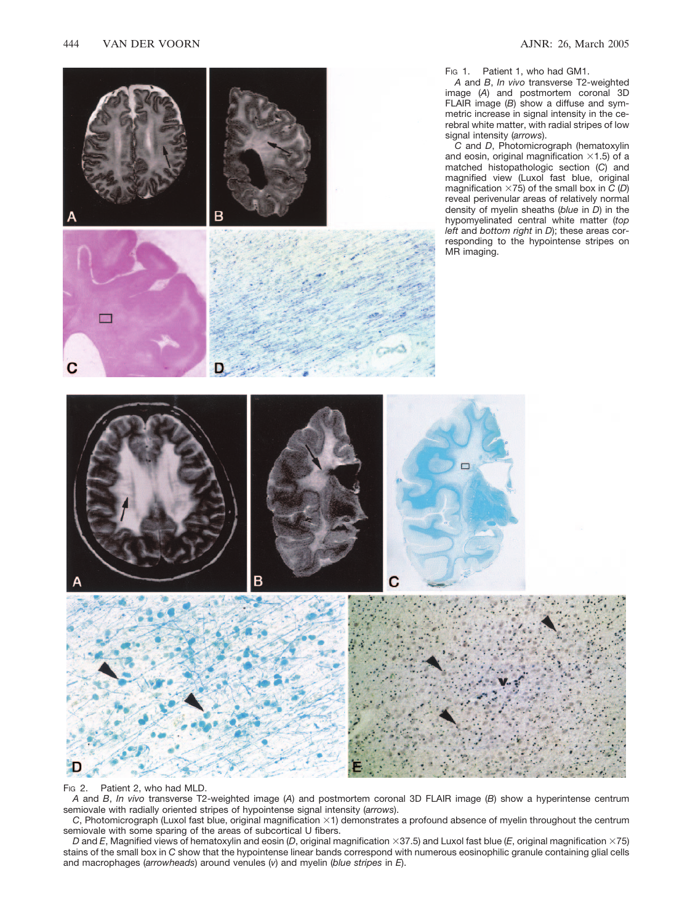

F<sub>IG</sub> 2. Patient 2, who had MLD.

Ð

*A* and *B*, *In vivo* transverse T2-weighted image (*A*) and postmortem coronal 3D FLAIR image (*B*) show a hyperintense centrum semiovale with radially oriented stripes of hypointense signal intensity (*arrows*).

*C*, Photomicrograph (Luxol fast blue, original magnification  $\times$ 1) demonstrates a profound absence of myelin throughout the centrum semiovale with some sparing of the areas of subcortical U fibers.

*D* and *E*, Magnified views of hematoxylin and eosin (*D*, original magnification  $\times$ 37.5) and Luxol fast blue (*E*, original magnification  $\times$ 75) stains of the small box in *C* show that the hypointense linear bands correspond with numerous eosinophilic granule containing glial cells and macrophages (*arrowheads*) around venules (*v*) and myelin (*blue stripes* in *E*).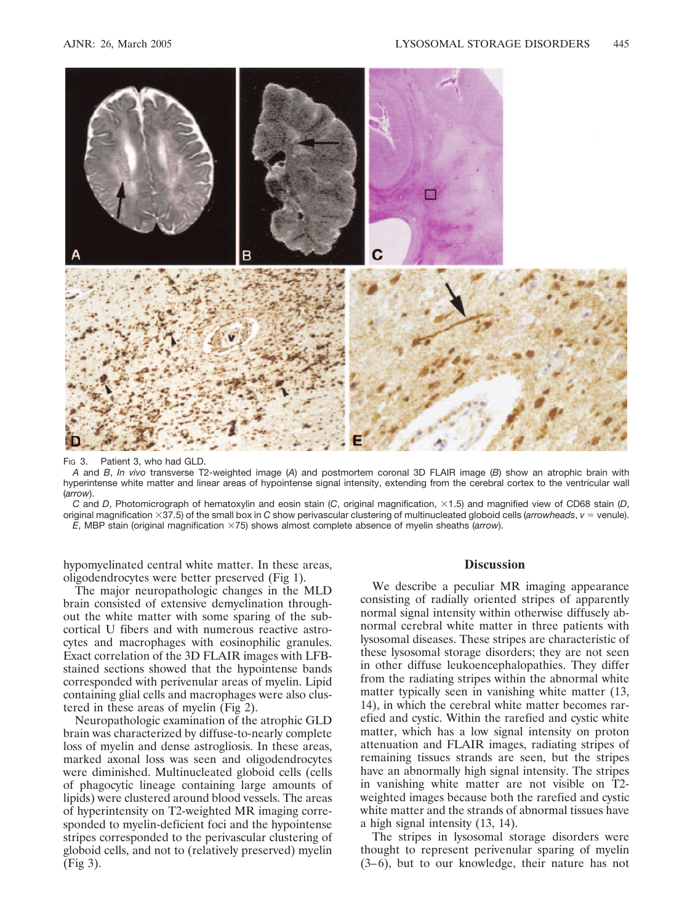

Fig. 3. Patient 3, who had GLD.

*A* and *B*, *In vivo* transverse T2-weighted image (*A*) and postmortem coronal 3D FLAIR image (*B*) show an atrophic brain with hyperintense white matter and linear areas of hypointense signal intensity, extending from the cerebral cortex to the ventricular wall (*arrow*).

*C* and *D*, Photomicrograph of hematoxylin and eosin stain (*C*, original magnification,  $\times$ 1.5) and magnified view of CD68 stain (*D*, original magnification 37.5) of the small box in *C* show perivascular clustering of multinucleated globoid cells (*arrowheads*, *v* - venule). *E*, MBP stain (original magnification ×75) shows almost complete absence of myelin sheaths (*arrow*).

hypomyelinated central white matter. In these areas, oligodendrocytes were better preserved (Fig 1).

The major neuropathologic changes in the MLD brain consisted of extensive demyelination throughout the white matter with some sparing of the subcortical U fibers and with numerous reactive astrocytes and macrophages with eosinophilic granules. Exact correlation of the 3D FLAIR images with LFBstained sections showed that the hypointense bands corresponded with perivenular areas of myelin. Lipid containing glial cells and macrophages were also clustered in these areas of myelin (Fig 2).

Neuropathologic examination of the atrophic GLD brain was characterized by diffuse-to-nearly complete loss of myelin and dense astrogliosis. In these areas, marked axonal loss was seen and oligodendrocytes were diminished. Multinucleated globoid cells (cells of phagocytic lineage containing large amounts of lipids) were clustered around blood vessels. The areas of hyperintensity on T2-weighted MR imaging corresponded to myelin-deficient foci and the hypointense stripes corresponded to the perivascular clustering of globoid cells, and not to (relatively preserved) myelin (Fig 3).

#### **Discussion**

We describe a peculiar MR imaging appearance consisting of radially oriented stripes of apparently normal signal intensity within otherwise diffusely abnormal cerebral white matter in three patients with lysosomal diseases. These stripes are characteristic of these lysosomal storage disorders; they are not seen in other diffuse leukoencephalopathies. They differ from the radiating stripes within the abnormal white matter typically seen in vanishing white matter (13, 14), in which the cerebral white matter becomes rarefied and cystic. Within the rarefied and cystic white matter, which has a low signal intensity on proton attenuation and FLAIR images, radiating stripes of remaining tissues strands are seen, but the stripes have an abnormally high signal intensity. The stripes in vanishing white matter are not visible on T2 weighted images because both the rarefied and cystic white matter and the strands of abnormal tissues have a high signal intensity (13, 14).

The stripes in lysosomal storage disorders were thought to represent perivenular sparing of myelin  $(3-6)$ , but to our knowledge, their nature has not